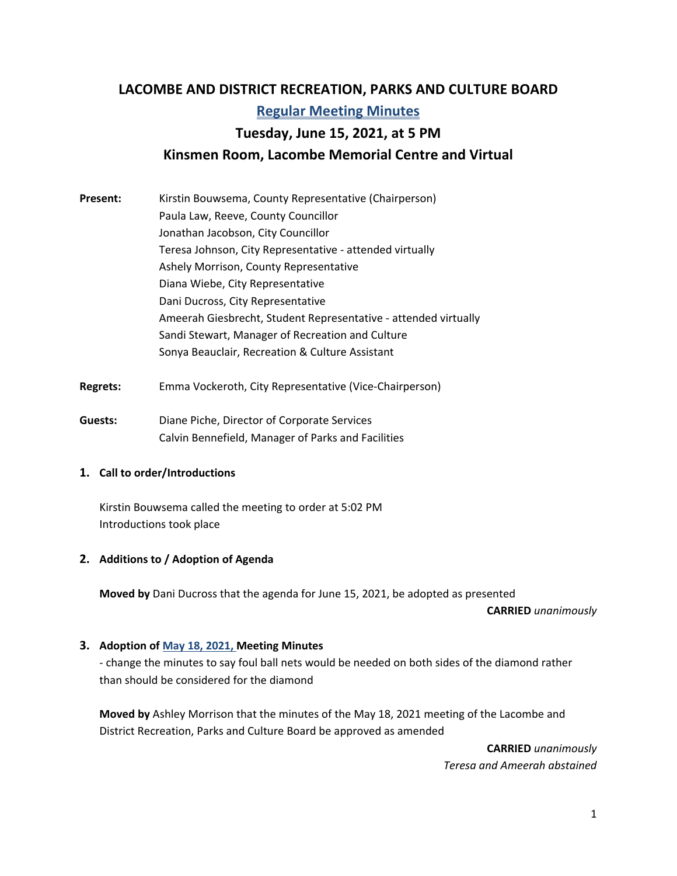# **LACOMBE AND DISTRICT RECREATION, PARKS AND CULTURE BOARD Regular Meeting Minutes Tuesday, June 15, 2021, at 5 PM Kinsmen Room, Lacombe Memorial Centre and Virtual**

- **Present:** Kirstin Bouwsema, County Representative (Chairperson) Paula Law, Reeve, County Councillor Jonathan Jacobson, City Councillor Teresa Johnson, City Representative ‐ attended virtually Ashely Morrison, County Representative Diana Wiebe, City Representative Dani Ducross, City Representative Ameerah Giesbrecht, Student Representative ‐ attended virtually Sandi Stewart, Manager of Recreation and Culture Sonya Beauclair, Recreation & Culture Assistant
- **Regrets:** Emma Vockeroth, City Representative (Vice‐Chairperson)
- **Guests:**  Diane Piche, Director of Corporate Services Calvin Bennefield, Manager of Parks and Facilities

#### **1. Call to order/Introductions**

Kirstin Bouwsema called the meeting to order at 5:02 PM Introductions took place

#### **2. Additions to / Adoption of Agenda**

**Moved by** Dani Ducross that the agenda for June 15, 2021, be adopted as presented

**CARRIED** *unanimously* 

#### **3. Adoption of May 18, 2021, Meeting Minutes**

‐ change the minutes to say foul ball nets would be needed on both sides of the diamond rather than should be considered for the diamond

**Moved by** Ashley Morrison that the minutes of the May 18, 2021 meeting of the Lacombe and District Recreation, Parks and Culture Board be approved as amended

> **CARRIED** *unanimously Teresa and Ameerah abstained*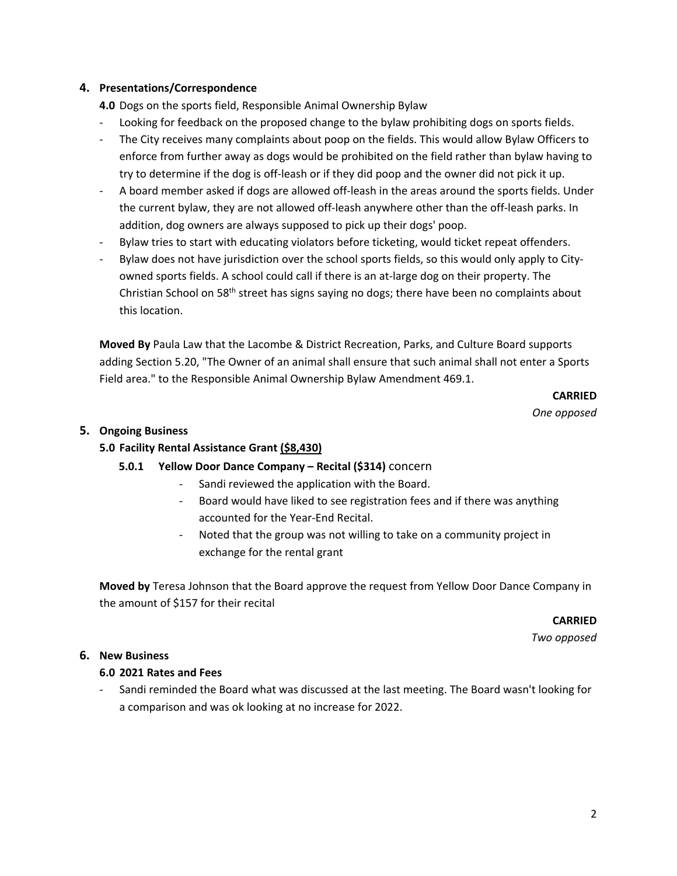## **4. Presentations/Correspondence**

**4.0** Dogs on the sports field, Responsible Animal Ownership Bylaw

- ‐ Looking for feedback on the proposed change to the bylaw prohibiting dogs on sports fields.
- The City receives many complaints about poop on the fields. This would allow Bylaw Officers to enforce from further away as dogs would be prohibited on the field rather than bylaw having to try to determine if the dog is off‐leash or if they did poop and the owner did not pick it up.
- ‐ A board member asked if dogs are allowed off‐leash in the areas around the sports fields. Under the current bylaw, they are not allowed off‐leash anywhere other than the off‐leash parks. In addition, dog owners are always supposed to pick up their dogs' poop.
- Bylaw tries to start with educating violators before ticketing, would ticket repeat offenders.
- Bylaw does not have jurisdiction over the school sports fields, so this would only apply to Cityowned sports fields. A school could call if there is an at‐large dog on their property. The Christian School on 58<sup>th</sup> street has signs saying no dogs; there have been no complaints about this location.

**Moved By** Paula Law that the Lacombe & District Recreation, Parks, and Culture Board supports adding Section 5.20, "The Owner of an animal shall ensure that such animal shall not enter a Sports Field area." to the Responsible Animal Ownership Bylaw Amendment 469.1.

**CARRIED** 

*One opposed* 

#### **5. Ongoing Business**

## **5.0 Facility Rental Assistance Grant (\$8,430)**

## **5.0.1 Yellow Door Dance Company – Recital (\$314)** concern

- Sandi reviewed the application with the Board.
- Board would have liked to see registration fees and if there was anything accounted for the Year‐End Recital.
- ‐ Noted that the group was not willing to take on a community project in exchange for the rental grant

**Moved by** Teresa Johnson that the Board approve the request from Yellow Door Dance Company in the amount of \$157 for their recital

**CARRIED** 

*Two opposed* 

#### **6. New Business**

#### **6.0 2021 Rates and Fees**

‐ Sandi reminded the Board what was discussed at the last meeting. The Board wasn't looking for a comparison and was ok looking at no increase for 2022.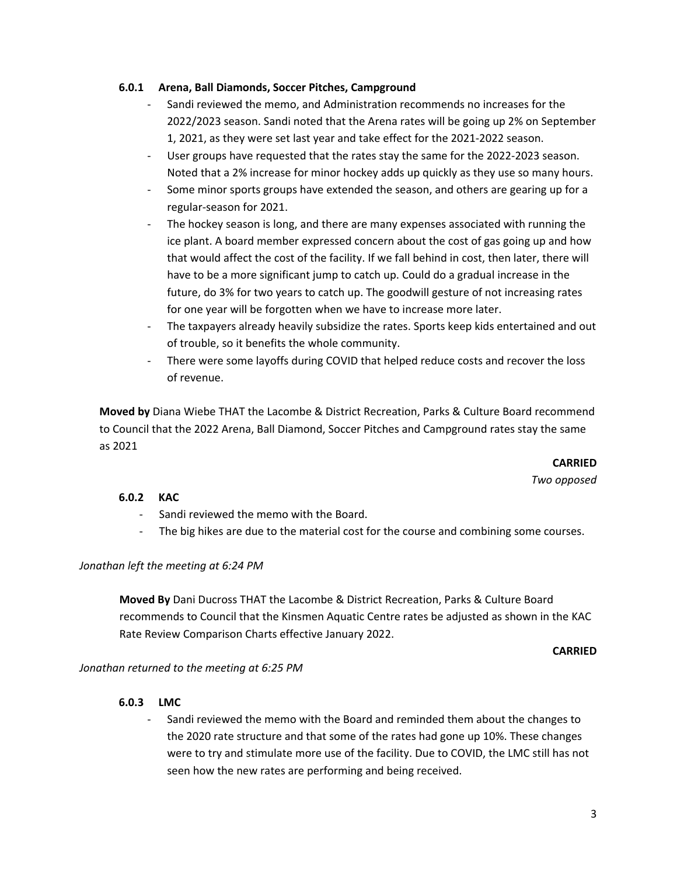#### **6.0.1 Arena, Ball Diamonds, Soccer Pitches, Campground**

- ‐ Sandi reviewed the memo, and Administration recommends no increases for the 2022/2023 season. Sandi noted that the Arena rates will be going up 2% on September 1, 2021, as they were set last year and take effect for the 2021‐2022 season.
- User groups have requested that the rates stay the same for the 2022-2023 season. Noted that a 2% increase for minor hockey adds up quickly as they use so many hours.
- Some minor sports groups have extended the season, and others are gearing up for a regular‐season for 2021.
- The hockey season is long, and there are many expenses associated with running the ice plant. A board member expressed concern about the cost of gas going up and how that would affect the cost of the facility. If we fall behind in cost, then later, there will have to be a more significant jump to catch up. Could do a gradual increase in the future, do 3% for two years to catch up. The goodwill gesture of not increasing rates for one year will be forgotten when we have to increase more later.
- ‐ The taxpayers already heavily subsidize the rates. Sports keep kids entertained and out of trouble, so it benefits the whole community.
- ‐ There were some layoffs during COVID that helped reduce costs and recover the loss of revenue.

**Moved by** Diana Wiebe THAT the Lacombe & District Recreation, Parks & Culture Board recommend to Council that the 2022 Arena, Ball Diamond, Soccer Pitches and Campground rates stay the same as 2021

> **CARRIED**  *Two opposed*

#### **6.0.2 KAC**

- ‐ Sandi reviewed the memo with the Board.
- The big hikes are due to the material cost for the course and combining some courses.

#### *Jonathan left the meeting at 6:24 PM*

**Moved By** Dani Ducross THAT the Lacombe & District Recreation, Parks & Culture Board recommends to Council that the Kinsmen Aquatic Centre rates be adjusted as shown in the KAC Rate Review Comparison Charts effective January 2022.

#### **CARRIED**

*Jonathan returned to the meeting at 6:25 PM* 

#### **6.0.3 LMC**

‐ Sandi reviewed the memo with the Board and reminded them about the changes to the 2020 rate structure and that some of the rates had gone up 10%. These changes were to try and stimulate more use of the facility. Due to COVID, the LMC still has not seen how the new rates are performing and being received.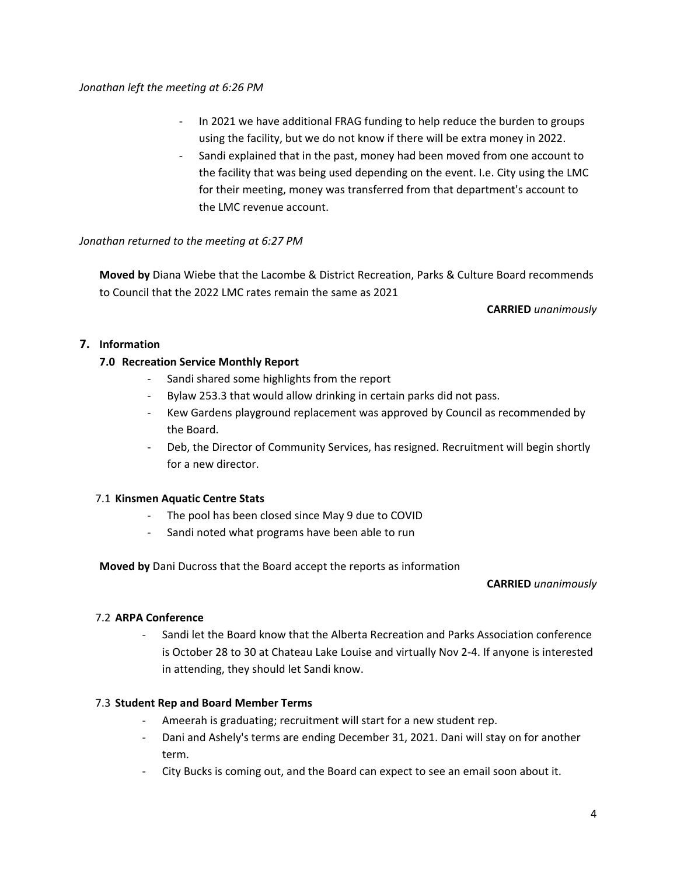#### *Jonathan left the meeting at 6:26 PM*

- In 2021 we have additional FRAG funding to help reduce the burden to groups using the facility, but we do not know if there will be extra money in 2022.
- Sandi explained that in the past, money had been moved from one account to the facility that was being used depending on the event. I.e. City using the LMC for their meeting, money was transferred from that department's account to the LMC revenue account.

## *Jonathan returned to the meeting at 6:27 PM*

**Moved by** Diana Wiebe that the Lacombe & District Recreation, Parks & Culture Board recommends to Council that the 2022 LMC rates remain the same as 2021

**CARRIED** *unanimously* 

# **7. Information**

## **7.0 Recreation Service Monthly Report**

- ‐ Sandi shared some highlights from the report
- ‐ Bylaw 253.3 that would allow drinking in certain parks did not pass.
- ‐ Kew Gardens playground replacement was approved by Council as recommended by the Board.
- ‐ Deb, the Director of Community Services, has resigned. Recruitment will begin shortly for a new director.

#### 7.1 **Kinsmen Aquatic Centre Stats**

- ‐ The pool has been closed since May 9 due to COVID
- ‐ Sandi noted what programs have been able to run

**Moved by** Dani Ducross that the Board accept the reports as information

#### **CARRIED** *unanimously*

#### 7.2 **ARPA Conference**

‐ Sandi let the Board know that the Alberta Recreation and Parks Association conference is October 28 to 30 at Chateau Lake Louise and virtually Nov 2‐4. If anyone is interested in attending, they should let Sandi know.

#### 7.3 **Student Rep and Board Member Terms**

- ‐ Ameerah is graduating; recruitment will start for a new student rep.
- ‐ Dani and Ashely's terms are ending December 31, 2021. Dani will stay on for another term.
- ‐ City Bucks is coming out, and the Board can expect to see an email soon about it.